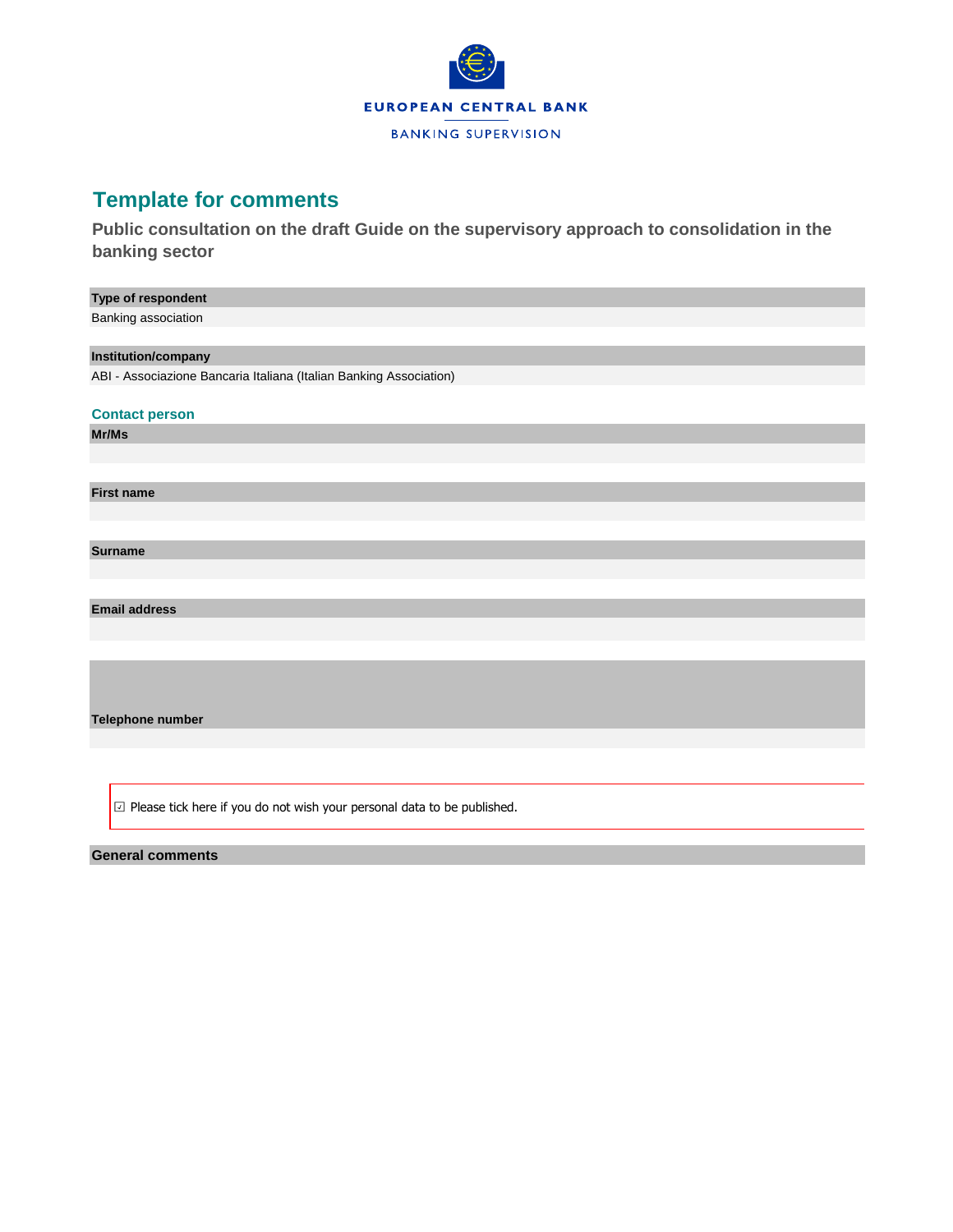

## **Template for comments**

**Public consultation on the draft Guide on the supervisory approach to consolidation in the banking sector**

| Type of respondent                                                                |
|-----------------------------------------------------------------------------------|
| Banking association                                                               |
|                                                                                   |
| Institution/company                                                               |
| ABI - Associazione Bancaria Italiana (Italian Banking Association)                |
|                                                                                   |
| <b>Contact person</b>                                                             |
| Mr/Ms                                                                             |
|                                                                                   |
|                                                                                   |
| <b>First name</b>                                                                 |
|                                                                                   |
|                                                                                   |
| <b>Surname</b>                                                                    |
|                                                                                   |
|                                                                                   |
| <b>Email address</b>                                                              |
|                                                                                   |
|                                                                                   |
|                                                                                   |
|                                                                                   |
|                                                                                   |
| Telephone number                                                                  |
|                                                                                   |
|                                                                                   |
|                                                                                   |
| $\boxdot$ Please tick here if you do not wish your personal data to be published. |

## **General comments**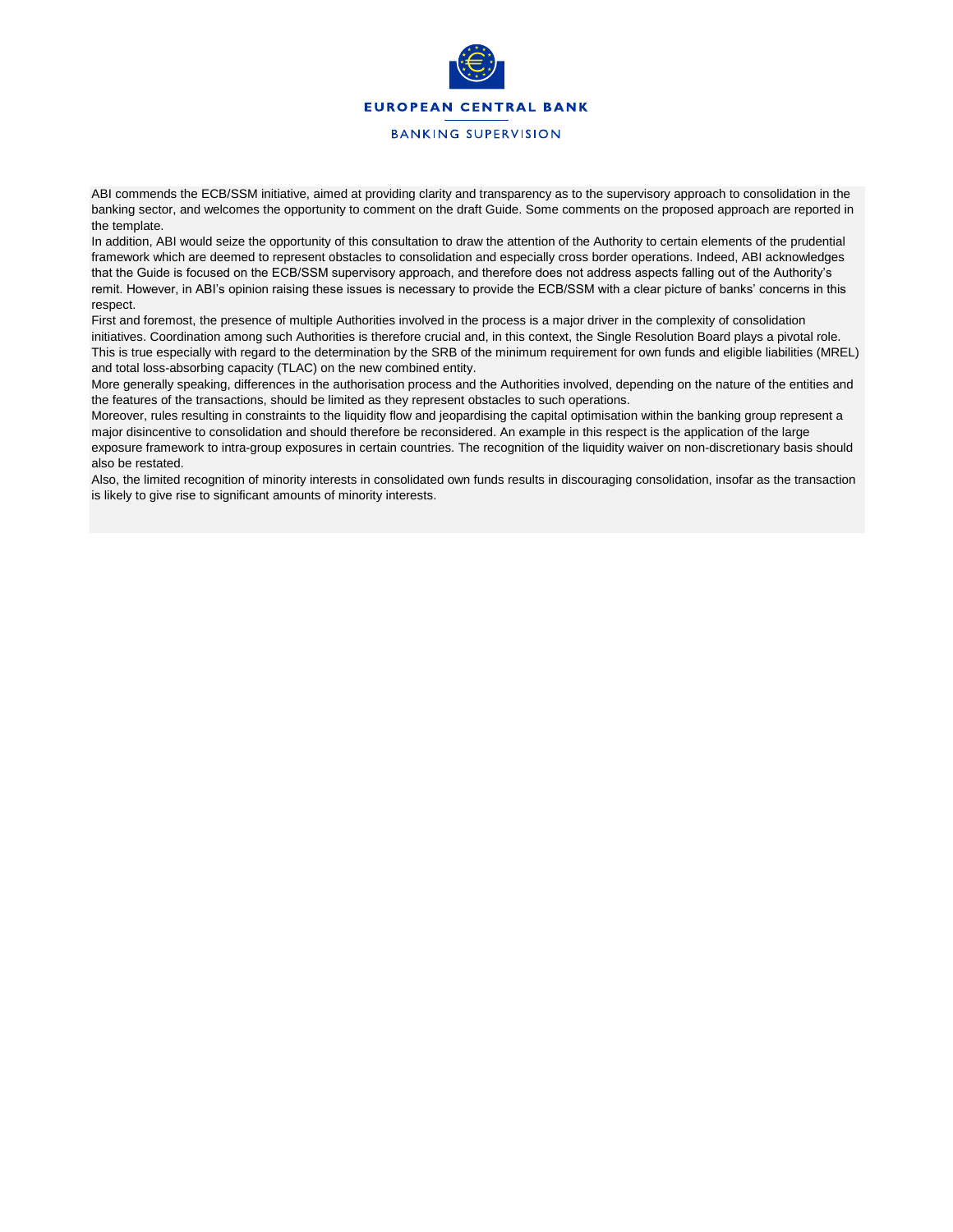

ABI commends the ECB/SSM initiative, aimed at providing clarity and transparency as to the supervisory approach to consolidation in the banking sector, and welcomes the opportunity to comment on the draft Guide. Some comments on the proposed approach are reported in the template.

In addition, ABI would seize the opportunity of this consultation to draw the attention of the Authority to certain elements of the prudential framework which are deemed to represent obstacles to consolidation and especially cross border operations. Indeed, ABI acknowledges that the Guide is focused on the ECB/SSM supervisory approach, and therefore does not address aspects falling out of the Authority's remit. However, in ABI's opinion raising these issues is necessary to provide the ECB/SSM with a clear picture of banks' concerns in this respect.

First and foremost, the presence of multiple Authorities involved in the process is a major driver in the complexity of consolidation initiatives. Coordination among such Authorities is therefore crucial and, in this context, the Single Resolution Board plays a pivotal role. This is true especially with regard to the determination by the SRB of the minimum requirement for own funds and eligible liabilities (MREL) and total loss-absorbing capacity (TLAC) on the new combined entity.

More generally speaking, differences in the authorisation process and the Authorities involved, depending on the nature of the entities and the features of the transactions, should be limited as they represent obstacles to such operations.

Moreover, rules resulting in constraints to the liquidity flow and jeopardising the capital optimisation within the banking group represent a major disincentive to consolidation and should therefore be reconsidered. An example in this respect is the application of the large exposure framework to intra-group exposures in certain countries. The recognition of the liquidity waiver on non-discretionary basis should also be restated.

Also, the limited recognition of minority interests in consolidated own funds results in discouraging consolidation, insofar as the transaction is likely to give rise to significant amounts of minority interests.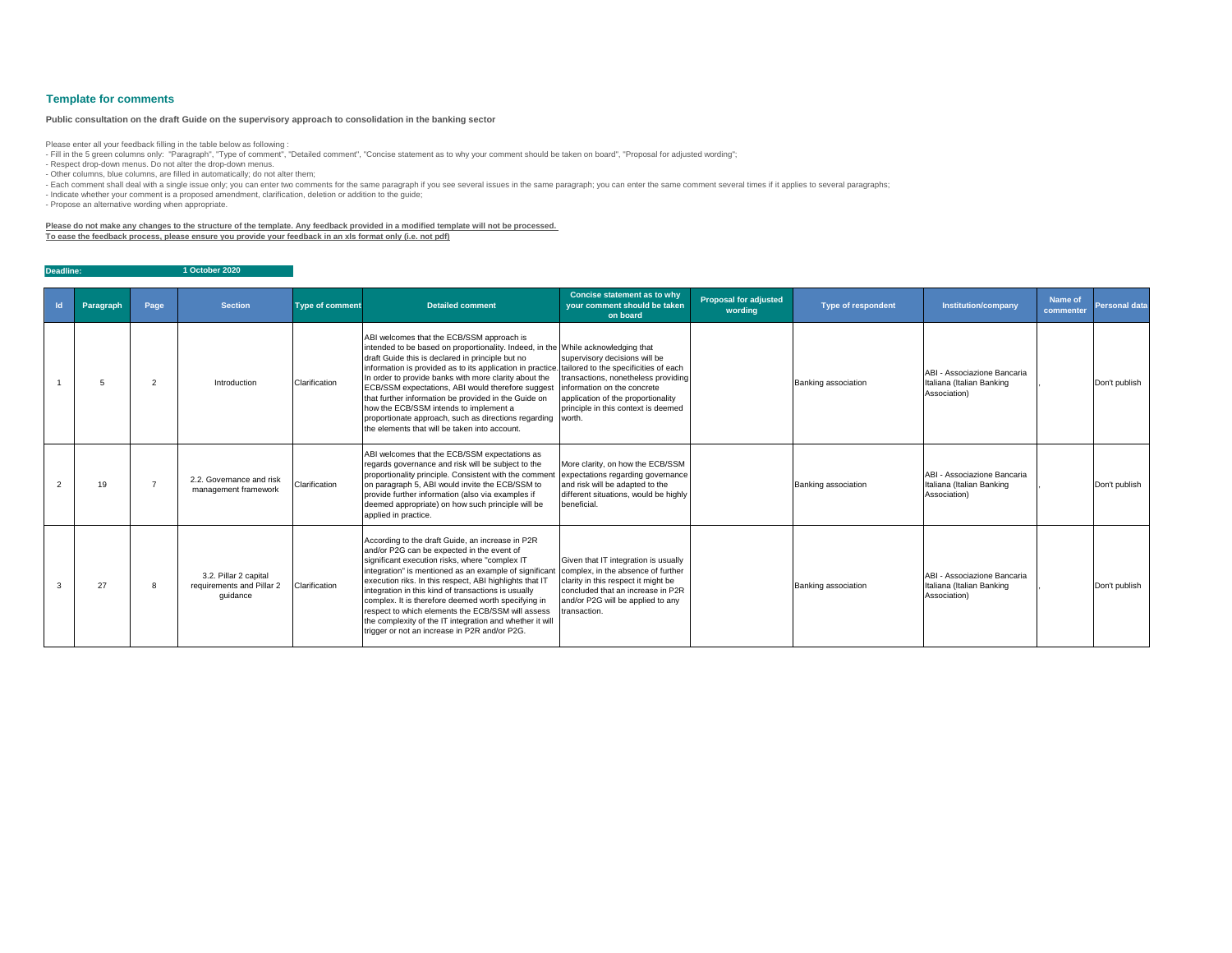| $\mathsf{Id}$ | Paragraph | Page           | <b>Section</b>                                                 | <b>Type of comment</b> | <b>Detailed comment</b>                                                                                                                                                                                                                                                                                                                                                                                                                                                                                                                                                                                        | <b>Concise statement as to why</b><br>your comment should be taken<br>on board                                                                                                                              | <b>Proposal for adjusted</b><br>wording | <b>Type of respondent</b>  | Institution/company                                                      | <b>Name of</b><br>commenter | <b>Personal data</b> |
|---------------|-----------|----------------|----------------------------------------------------------------|------------------------|----------------------------------------------------------------------------------------------------------------------------------------------------------------------------------------------------------------------------------------------------------------------------------------------------------------------------------------------------------------------------------------------------------------------------------------------------------------------------------------------------------------------------------------------------------------------------------------------------------------|-------------------------------------------------------------------------------------------------------------------------------------------------------------------------------------------------------------|-----------------------------------------|----------------------------|--------------------------------------------------------------------------|-----------------------------|----------------------|
|               |           | $\overline{2}$ | Introduction                                                   | Clarification          | ABI welcomes that the ECB/SSM approach is<br>intended to be based on proportionality. Indeed, in the While acknowledging that<br>draft Guide this is declared in principle but no<br>information is provided as to its application in practice. tailored to the specificities of each<br>In order to provide banks with more clarity about the<br>ECB/SSM expectations, ABI would therefore suggest<br>that further information be provided in the Guide on<br>how the ECB/SSM intends to implement a<br>proportionate approach, such as directions regarding<br>the elements that will be taken into account. | supervisory decisions will be<br>transactions, nonetheless providing<br>information on the concrete<br>application of the proportionality<br>principle in this context is deemed<br>worth.                  |                                         | <b>Banking association</b> | ABI - Associazione Bancaria<br>Italiana (Italian Banking<br>Association) |                             | Don't publish        |
|               | 19        |                | 2.2. Governance and risk<br>management framework               | Clarification          | ABI welcomes that the ECB/SSM expectations as<br>regards governance and risk will be subject to the<br>proportionality principle. Consistent with the commen<br>on paragraph 5, ABI would invite the ECB/SSM to<br>provide further information (also via examples if<br>deemed appropriate) on how such principle will be<br>applied in practice.                                                                                                                                                                                                                                                              | More clarity, on how the ECB/SSM<br>expectations regarding governance<br>and risk will be adapted to the<br>different situations, would be highly<br>beneficial.                                            |                                         | <b>Banking association</b> | ABI - Associazione Bancaria<br>Italiana (Italian Banking<br>Association) |                             | Don't publish        |
|               | 27        | 8              | 3.2. Pillar 2 capital<br>requirements and Pillar 2<br>guidance | Clarification          | According to the draft Guide, an increase in P2R<br>and/or P2G can be expected in the event of<br>significant execution risks, where "complex IT<br>integration" is mentioned as an example of significant<br>execution riks. In this respect, ABI highlights that IT<br>integration in this kind of transactions is usually<br>complex. It is therefore deemed worth specifying in<br>respect to which elements the ECB/SSM will assess<br>the complexity of the IT integration and whether it will<br>trigger or not an increase in P2R and/or P2G.                                                          | Given that IT integration is usually<br>complex, in the absence of further<br>clarity in this respect it might be<br>concluded that an increase in P2R<br>and/or P2G will be applied to any<br>transaction. |                                         | <b>Banking association</b> | ABI - Associazione Bancaria<br>Italiana (Italian Banking<br>Association) |                             | Don't publish        |

- Fill in the 5 green columns only: "Paragraph", "Type of comment", "Detailed comment", "Concise statement as to why your comment should be taken on board", "Proposal for adjusted wording"; - Respect drop-down menus. Do not alter the drop-down menus.

**Deadline: 1 October 2020**

## **Template for comments**

Please enter all your feedback filling in the table below as following :

- Other columns, blue columns, are filled in automatically; do not alter them;

- Each comment shall deal with a single issue only; you can enter two comments for the same paragraph if you see several issues in the same paragraph; you can enter the same comment several times if it applies to several p

- Indicate whether your comment is a proposed amendment, clarification, deletion or addition to the guide;

- Propose an alternative wording when appropriate.

**Please do not make any changes to the structure of the template. Any feedback provided in a modified template will not be processed. To ease the feedback process, please ensure you provide your feedback in an xls format only (i.e. not pdf)**

## **Public consultation on the draft Guide on the supervisory approach to consolidation in the banking sector**